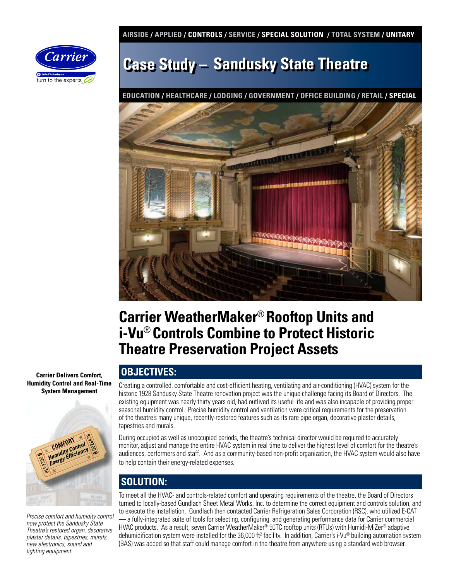**AIRSIDE / APPLIED / CONTROLS / SERVICE / SPECIAL SOLUTION / TOTAL SYSTEM / UNITARY** 



# **Case Study – Sandusky State Theatre**

**EDUCATION / HEALTHCARE / LODGING / GOVERNMENT / OFFICE BUILDING / RETAIL / SPECIAL**



### **Carrier WeatherMaker**® **Rooftop Units and i-Vu**® **Controls Combine to Protect Historic Theatre Preservation Project Assets**

**Carrier Delivers Comfort, Humidity Control and Real-Time System Management**



*Precise comfort and humidity control now protect the Sandusky State Theatre's restored organ, decorative plaster details, tapestries, murals, new electronics, sound and lighting equipment.*

### **OBJECTIVES:**

Creating a controlled, comfortable and cost-efficient heating, ventilating and air-conditioning (HVAC) system for the historic 1928 Sandusky State Theatre renovation project was the unique challenge facing its Board of Directors. The existing equipment was nearly thirty years old, had outlived its useful life and was also incapable of providing proper seasonal humidity control. Precise humidity control and ventilation were critical requirements for the preservation of the theatre's many unique, recently-restored features such as its rare pipe organ, decorative plaster details, tapestries and murals.

During occupied as well as unoccupied periods, the theatre's technical director would be required to accurately monitor, adjust and manage the entire HVAC system in real time to deliver the highest level of comfort for the theatre's audiences, performers and staff. And as a community-based non-profit organization, the HVAC system would also have to help contain their energy-related expenses.

### **SOLUTION:**

To meet all the HVAC- and controls-related comfort and operating requirements of the theatre, the Board of Directors turned to locally-based Gundlach Sheet Metal Works, Inc. to determine the correct equipment and controls solution, and to execute the installation. Gundlach then contacted Carrier Refrigeration Sales Corporation (RSC), who utilized E-CAT — a fully-integrated suite of tools for selecting, configuring, and generating performance data for Carrier commercial HVAC products. As a result, seven Carrier WeatherMaker® 50TC rooftop units (RTUs) with Humidi-MiZer® adaptive dehumidification system were installed for the 36,000 ft<sup>2</sup> facility. In addition, Carrier's i-Vu® building automation system (BAS) was added so that staff could manage comfort in the theatre from anywhere using a standard web browser.